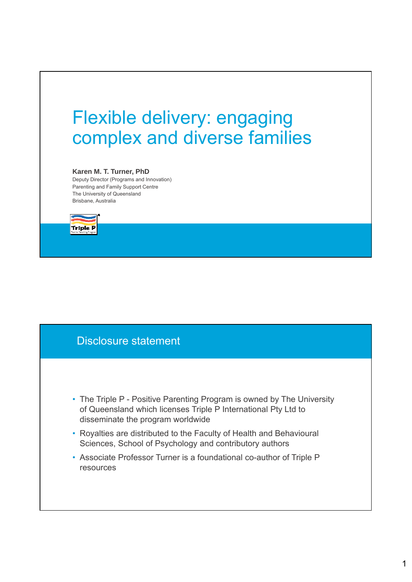# Flexible delivery: engaging complex and diverse families

#### **Karen M. T. Turner, PhD**

Deputy Director (Programs and Innovation) Parenting and Family Support Centre The University of Queensland Brisbane, Australia



# Disclosure statement

- The Triple P Positive Parenting Program is owned by The University of Queensland which licenses Triple P International Pty Ltd to disseminate the program worldwide
- Royalties are distributed to the Faculty of Health and Behavioural Sciences, School of Psychology and contributory authors
- Associate Professor Turner is a foundational co-author of Triple P resources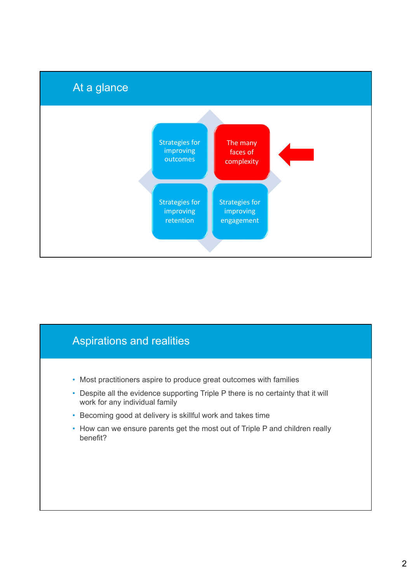

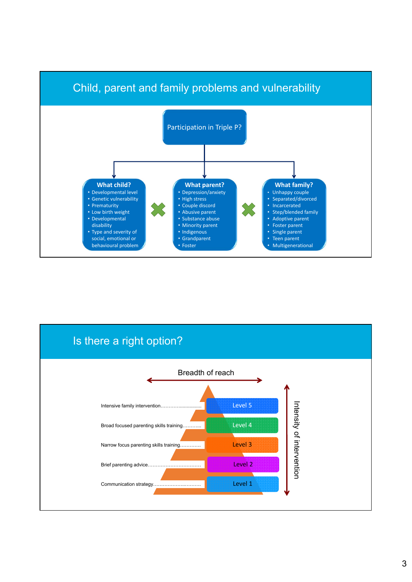



#### 3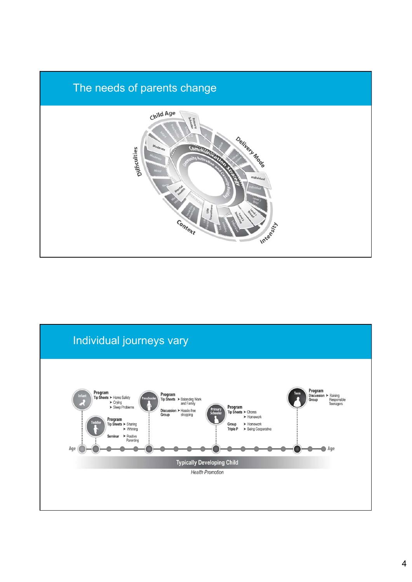

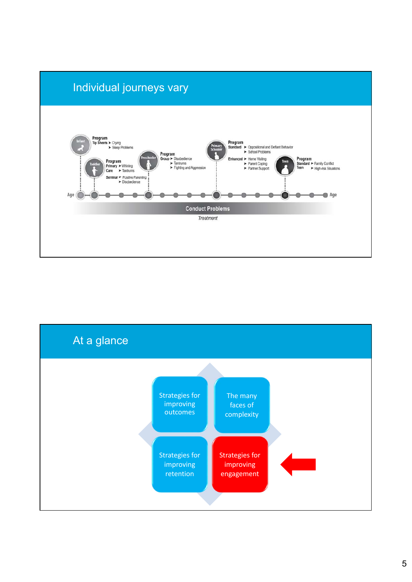

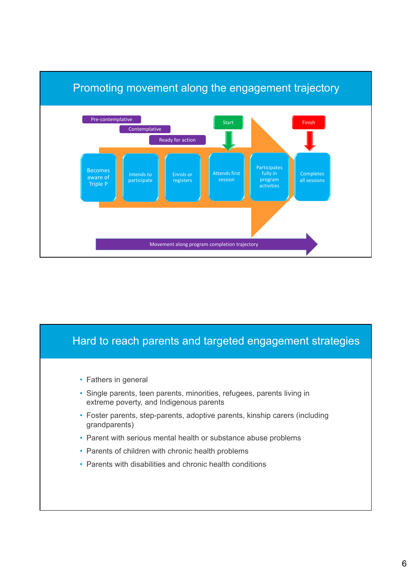

# Hard to reach parents and targeted engagement strategies • Fathers in general

- Single parents, teen parents, minorities, refugees, parents living in extreme poverty, and Indigenous parents
- Foster parents, step-parents, adoptive parents, kinship carers (including grandparents)
- Parent with serious mental health or substance abuse problems
- Parents of children with chronic health problems
- Parents with disabilities and chronic health conditions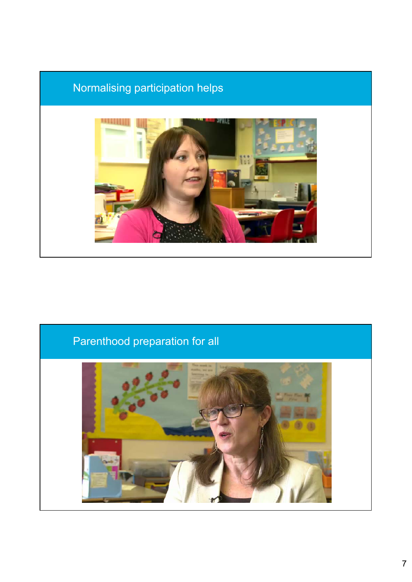# Normalising participation helps



# Parenthood preparation for all

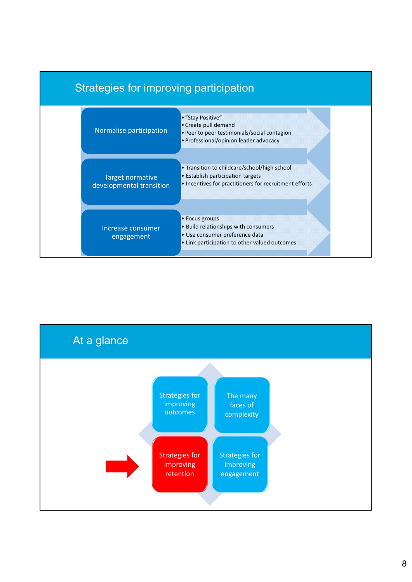

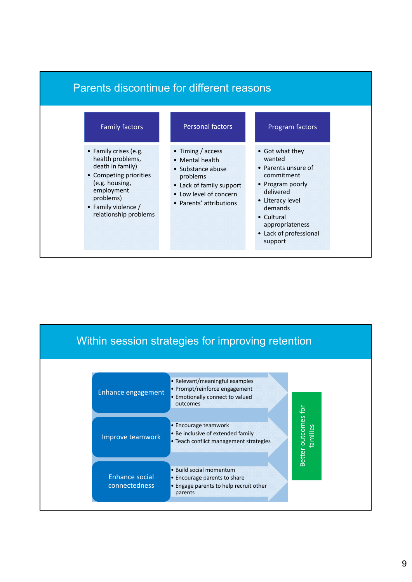



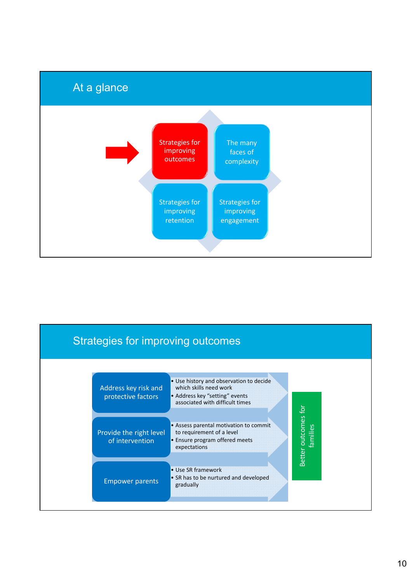

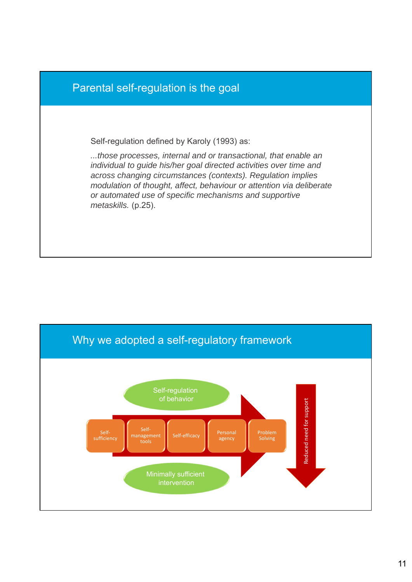

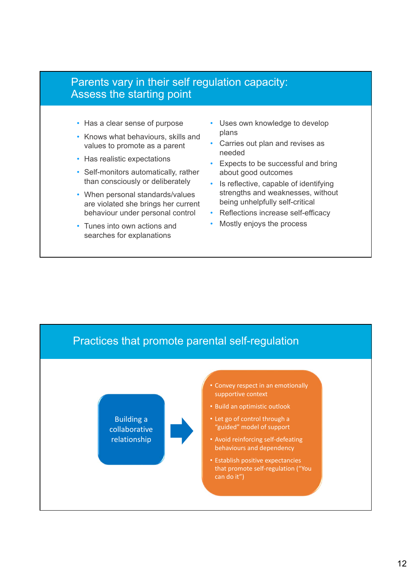#### Parents vary in their self regulation capacity: Assess the starting point

- Has a clear sense of purpose
- Knows what behaviours, skills and values to promote as a parent
- Has realistic expectations
- Self-monitors automatically, rather than consciously or deliberately
- When personal standards/values are violated she brings her current behaviour under personal control
- Tunes into own actions and searches for explanations
- Uses own knowledge to develop plans
- Carries out plan and revises as needed
- Expects to be successful and bring about good outcomes
- Is reflective, capable of identifying strengths and weaknesses, without being unhelpfully self-critical
- Reflections increase self-efficacy
- Mostly enjoys the process

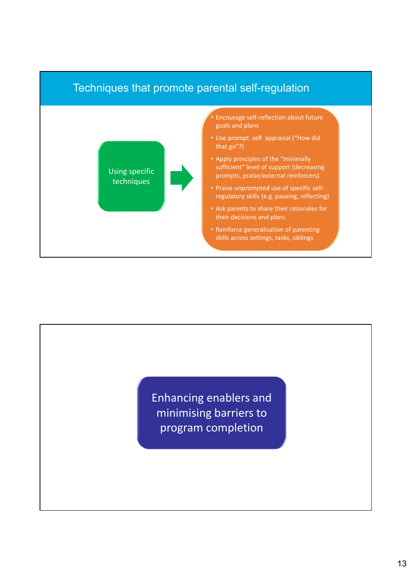

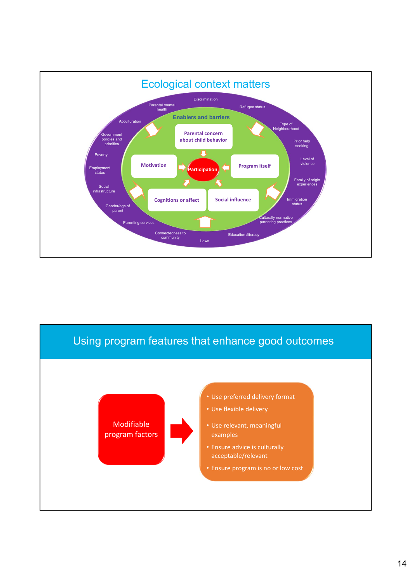

![](_page_13_Figure_1.jpeg)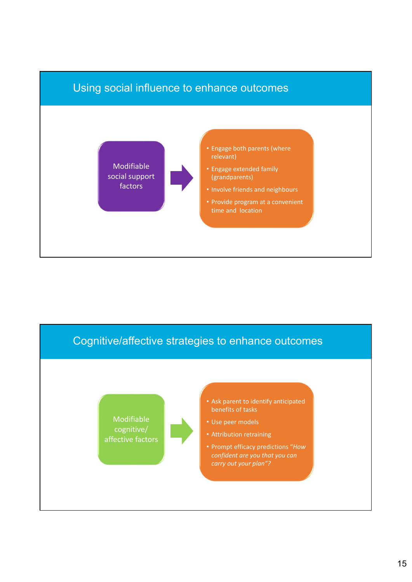![](_page_14_Figure_0.jpeg)

![](_page_14_Figure_1.jpeg)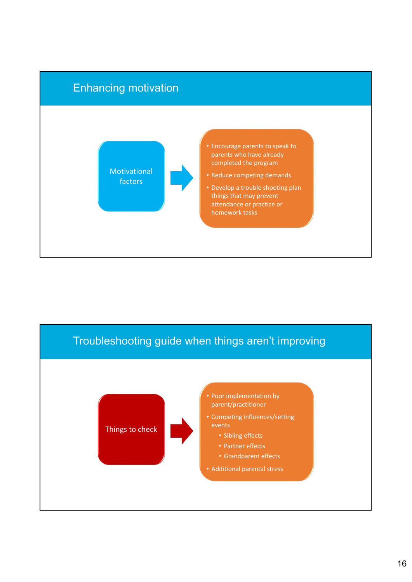![](_page_15_Figure_0.jpeg)

![](_page_15_Figure_1.jpeg)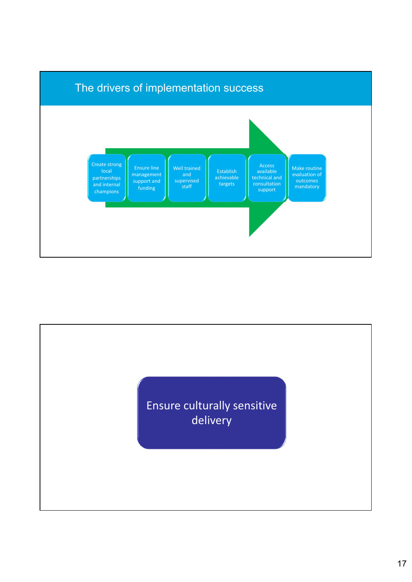![](_page_16_Figure_0.jpeg)

![](_page_16_Picture_1.jpeg)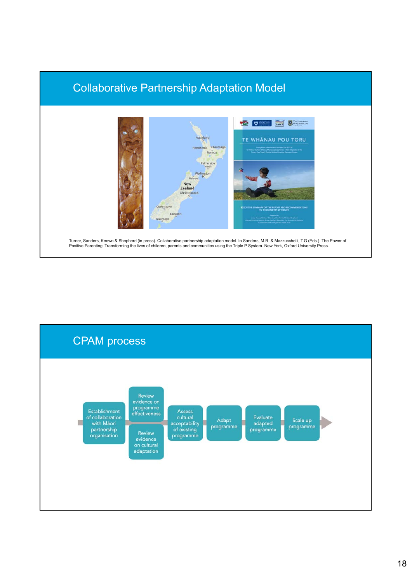## Collaborative Partnership Adaptation Model

![](_page_17_Figure_1.jpeg)

Turner, Sanders, Keown & Shepherd (in press). Collaborative partnership adaptation model. In Sanders, M.R, & Mazzucchelli, T.G (Eds.). The Power of Positive Parenting: Transforming the lives of children, parents and communities using the Triple P System. New York, Oxford University Press.

![](_page_17_Figure_3.jpeg)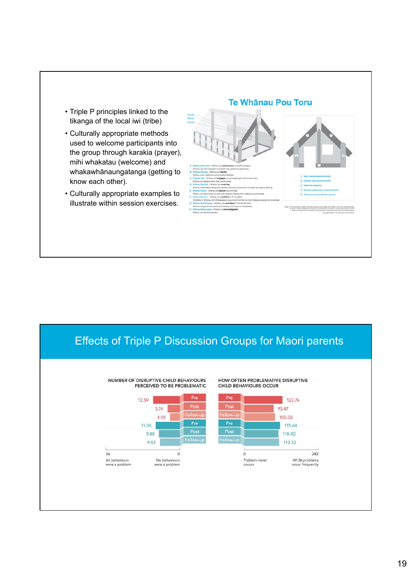- Triple P principles linked to the tikanga of the local iwi (tribe)
- Culturally appropriate methods used to welcome participants into the group through karakia (prayer), mihi whakatau (welcome) and whakawhānaungatanga (getting to know each other).
- Culturally appropriate examples to illustrate within session exercises.

#### **Te Whānau Pou Toru**

![](_page_18_Figure_4.jpeg)

#### Effects of Triple P Discussion Groups for Maori parents

![](_page_18_Figure_6.jpeg)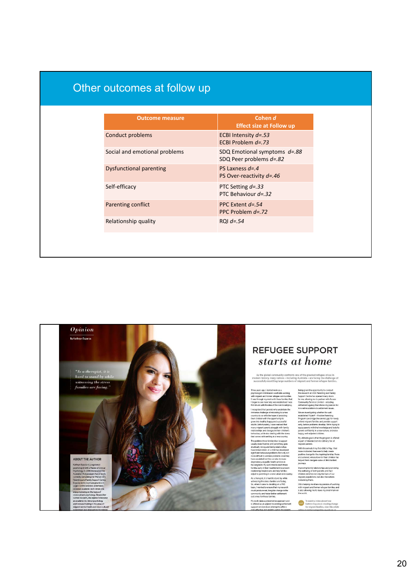| Other outcomes at follow up |  |  |
|-----------------------------|--|--|
|                             |  |  |
|                             |  |  |

| <b>Outcome measure</b>        | Cohen d<br><b>Effect size at Follow up</b>                  |
|-------------------------------|-------------------------------------------------------------|
| Conduct problems              | ECBI Intensity $d = 53$<br>ECBI Problem $d = 73$            |
| Social and emotional problems | SDQ Emotional symptoms $d=.88$<br>SDQ Peer problems $d=.82$ |
| Dysfunctional parenting       | PS Laxness $d = 4$<br>PS Over-reactivity $d = 0.46$         |
| Self-efficacy                 | PTC Setting $d = .33$<br>PTC Behaviour $d = 32$             |
| Parenting conflict            | PPC Extent $d = 54$<br>PPC Problem $d = 72$                 |
| Relationship quality          | RQI $d = .54$                                               |

![](_page_19_Picture_2.jpeg)

#### **REFUGEE SUPPORT** starts at home

As the global community confronts one of the greatest refugee crises in modern history, many nations – including Australia – are facing the challenge of successfully resettling large numbers of migrant and former refugee

Being given the opportunity to conduct<br>this research at UQS Parenting and Family<br>Support Centre has opened<br>many docs for me, allowing me to partner with Access<br>Community Services Limited - a leading<br>settlement agency that

innovative solutions to settlement issues.<br>We are investigating whether the well-<br>established Triple P – Positive Parenting<br>Program can bridge the service gap for newly<br>arrived migrant families and provide support parents

happy, well-adjusted children.<br>Hy ultimate goal is that the program is offered<br>as part of standard service delivery for all<br>migrant parents.<br>With the annual of my first child in May, I feel<br>mone motivated than ever to help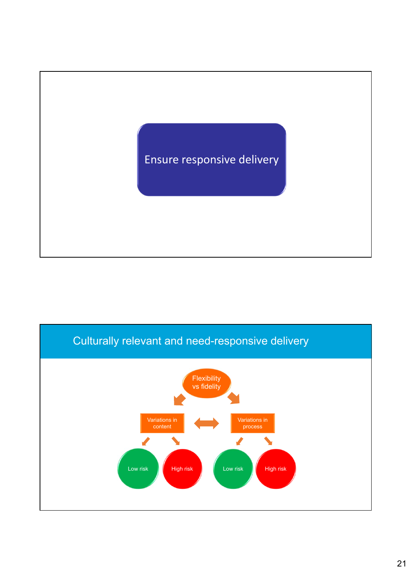![](_page_20_Picture_0.jpeg)

![](_page_20_Figure_1.jpeg)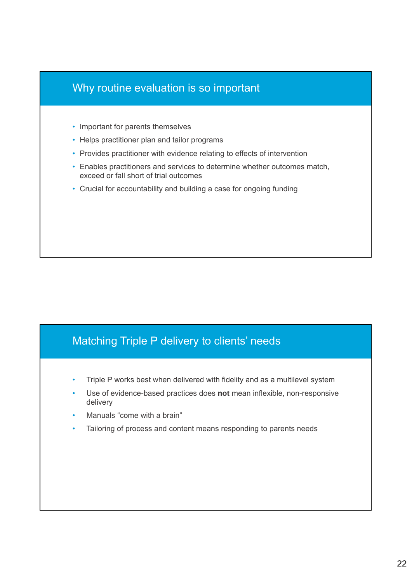## Why routine evaluation is so important

- Important for parents themselves
- Helps practitioner plan and tailor programs
- Provides practitioner with evidence relating to effects of intervention
- Enables practitioners and services to determine whether outcomes match, exceed or fall short of trial outcomes
- Crucial for accountability and building a case for ongoing funding

#### Matching Triple P delivery to clients' needs

- Triple P works best when delivered with fidelity and as a multilevel system
- Use of evidence-based practices does **not** mean inflexible, non-responsive delivery
- Manuals "come with a brain"
- Tailoring of process and content means responding to parents needs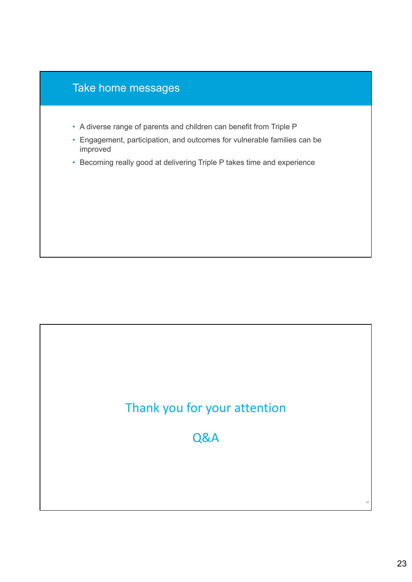![](_page_22_Figure_0.jpeg)

# Thank you for your attention

Q&A

46